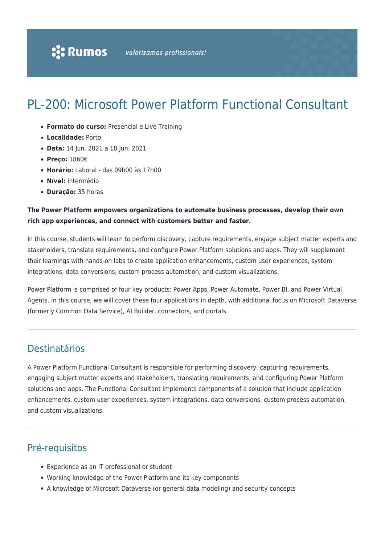# PL-200: Microsoft Power Platform Functional Consultant

- **Formato do curso:** Presencial e Live Training
- **Localidade:** Porto
- **Data:** 14 Jun. 2021 a 18 Jun. 2021
- **Preço:** 1860€
- **Horário:** Laboral das 09h00 às 17h00
- **Nível:** Intermédio
- **Duração:** 35 horas

# **The Power Platform empowers organizations to automate business processes, develop their own rich app experiences, and connect with customers better and faster.**

In this course, students will learn to perform discovery, capture requirements, engage subject matter experts and stakeholders, translate requirements, and configure Power Platform solutions and apps. They will supplement their learnings with hands-on labs to create application enhancements, custom user experiences, system integrations, data conversions, custom process automation, and custom visualizations.

Power Platform is comprised of four key products: Power Apps, Power Automate, Power BI, and Power Virtual Agents. In this course, we will cover these four applications in depth, with additional focus on Microsoft Dataverse (formerly Common Data Service), AI Builder, connectors, and portals.

# Destinatários

A Power Platform Functional Consultant is responsible for performing discovery, capturing requirements, engaging subject matter experts and stakeholders, translating requirements, and configuring Power Platform solutions and apps. The Functional Consultant implements components of a solution that include application enhancements, custom user experiences, system integrations, data conversions, custom process automation, and custom visualizations.

# Pré-requisitos

- Experience as an IT professional or student
- Working knowledge of the Power Platform and its key components
- A knowledge of Microsoft Dataverse (or general data modeling) and security concepts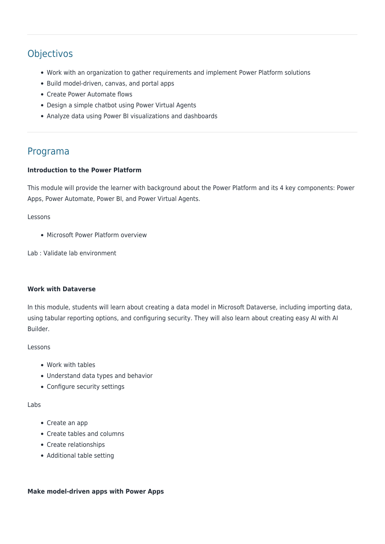# **Objectivos**

- Work with an organization to gather requirements and implement Power Platform solutions
- Build model-driven, canvas, and portal apps
- Create Power Automate flows
- Design a simple chatbot using Power Virtual Agents
- Analyze data using Power BI visualizations and dashboards

# Programa

# **Introduction to the Power Platform**

This module will provide the learner with background about the Power Platform and its 4 key components: Power Apps, Power Automate, Power BI, and Power Virtual Agents.

### Lessons

• Microsoft Power Platform overview

Lab : Validate lab environment

### **Work with Dataverse**

In this module, students will learn about creating a data model in Microsoft Dataverse, including importing data, using tabular reporting options, and configuring security. They will also learn about creating easy AI with AI Builder.

### Lessons

- Work with tables
- Understand data types and behavior
- Configure security settings

### Labs

- Create an app
- Create tables and columns
- Create relationships
- Additional table setting

### **Make model-driven apps with Power Apps**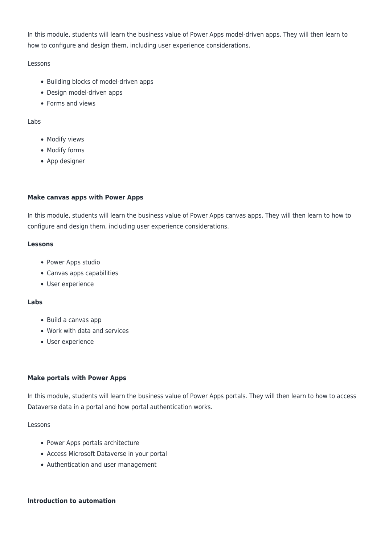In this module, students will learn the business value of Power Apps model-driven apps. They will then learn to how to configure and design them, including user experience considerations.

Lessons

- Building blocks of model-driven apps
- Design model-driven apps
- Forms and views

Labs

- Modify views
- Modify forms
- App designer

# **Make canvas apps with Power Apps**

In this module, students will learn the business value of Power Apps canvas apps. They will then learn to how to configure and design them, including user experience considerations.

### **Lessons**

- Power Apps studio
- Canvas apps capabilities
- User experience

## **Labs**

- Build a canvas app
- Work with data and services
- User experience

### **Make portals with Power Apps**

In this module, students will learn the business value of Power Apps portals. They will then learn to how to access Dataverse data in a portal and how portal authentication works.

Lessons

- Power Apps portals architecture
- Access Microsoft Dataverse in your portal
- Authentication and user management

# **Introduction to automation**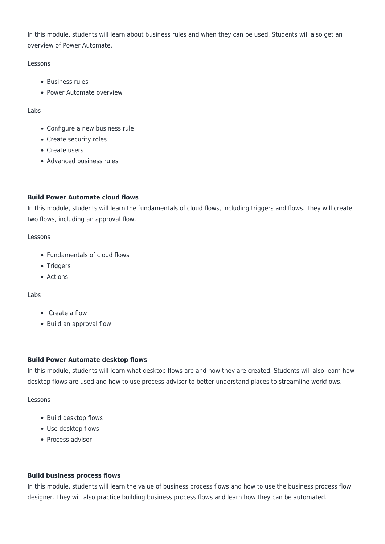In this module, students will learn about business rules and when they can be used. Students will also get an overview of Power Automate.

# Lessons

- Business rules
- Power Automate overview

# Labs

- Configure a new business rule
- Create security roles
- Create users
- Advanced business rules

# **Build Power Automate cloud flows**

In this module, students will learn the fundamentals of cloud flows, including triggers and flows. They will create two flows, including an approval flow.

# Lessons

- Fundamentals of cloud flows
- Triggers
- Actions

# Labs

- Create a flow
- Build an approval flow

# **Build Power Automate desktop flows**

In this module, students will learn what desktop flows are and how they are created. Students will also learn how desktop flows are used and how to use process advisor to better understand places to streamline workflows.

# Lessons

- Build desktop flows
- Use desktop flows
- Process advisor

# **Build business process flows**

In this module, students will learn the value of business process flows and how to use the business process flow designer. They will also practice building business process flows and learn how they can be automated.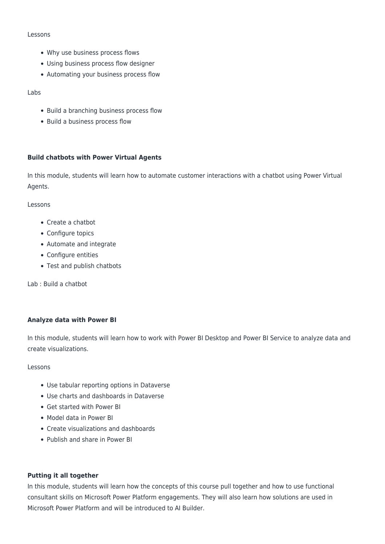#### Lessons

- Why use business process flows
- Using business process flow designer
- Automating your business process flow

Labs

- Build a branching business process flow
- Build a business process flow

# **Build chatbots with Power Virtual Agents**

In this module, students will learn how to automate customer interactions with a chatbot using Power Virtual Agents.

#### Lessons

- Create a chatbot
- Configure topics
- Automate and integrate
- Configure entities
- Test and publish chatbots

Lab : Build a chatbot

### **Analyze data with Power BI**

In this module, students will learn how to work with Power BI Desktop and Power BI Service to analyze data and create visualizations.

Lessons

- Use tabular reporting options in Dataverse
- Use charts and dashboards in Dataverse
- Get started with Power BI
- Model data in Power BI
- Create visualizations and dashboards
- Publish and share in Power BI

### **Putting it all together**

In this module, students will learn how the concepts of this course pull together and how to use functional consultant skills on Microsoft Power Platform engagements. They will also learn how solutions are used in Microsoft Power Platform and will be introduced to AI Builder.